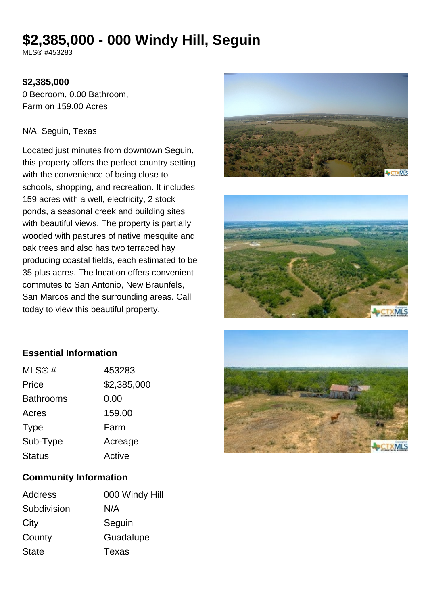# **\$2,385,000 - 000 Windy Hill, Seguin**

MLS® #453283

### **\$2,385,000**

0 Bedroom, 0.00 Bathroom, Farm on 159.00 Acres

#### N/A, Seguin, Texas

Located just minutes from downtown Seguin, this property offers the perfect country setting with the convenience of being close to schools, shopping, and recreation. It includes 159 acres with a well, electricity, 2 stock ponds, a seasonal creek and building sites with beautiful views. The property is partially wooded with pastures of native mesquite and oak trees and also has two terraced hay producing coastal fields, each estimated to be 35 plus acres. The location offers convenient commutes to San Antonio, New Braunfels, San Marcos and the surrounding areas. Call today to view this beautiful property.





## **Essential Information**

| MLS@#            | 453283      |
|------------------|-------------|
| Price            | \$2,385,000 |
| <b>Bathrooms</b> | 0.00        |
| Acres            | 159.00      |
| <b>Type</b>      | Farm        |
| Sub-Type         | Acreage     |
| <b>Status</b>    | Active      |
|                  |             |

#### **Community Information**

| Address      | 000 Windy Hill |
|--------------|----------------|
| Subdivision  | N/A            |
| City         | Seguin         |
| County       | Guadalupe      |
| <b>State</b> | Texas          |
|              |                |